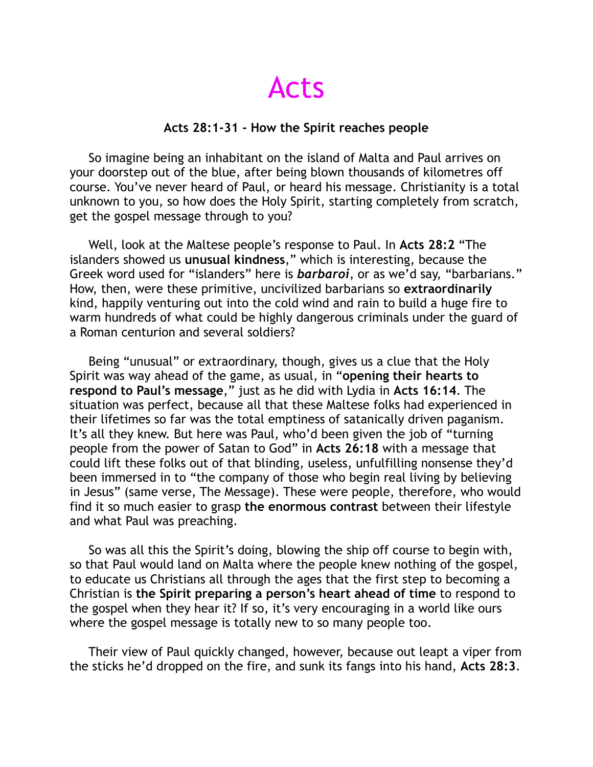Acts

## **Acts 28:1-31 - How the Spirit reaches people**

 So imagine being an inhabitant on the island of Malta and Paul arrives on your doorstep out of the blue, after being blown thousands of kilometres off course. You've never heard of Paul, or heard his message. Christianity is a total unknown to you, so how does the Holy Spirit, starting completely from scratch, get the gospel message through to you?

 Well, look at the Maltese people's response to Paul. In **Acts 28:2** "The islanders showed us **unusual kindness**," which is interesting, because the Greek word used for "islanders" here is *barbaroi*, or as we'd say, "barbarians." How, then, were these primitive, uncivilized barbarians so **extraordinarily** kind, happily venturing out into the cold wind and rain to build a huge fire to warm hundreds of what could be highly dangerous criminals under the guard of a Roman centurion and several soldiers?

 Being "unusual" or extraordinary, though, gives us a clue that the Holy Spirit was way ahead of the game, as usual, in "**opening their hearts to respond to Paul's message**," just as he did with Lydia in **Acts 16:14**. The situation was perfect, because all that these Maltese folks had experienced in their lifetimes so far was the total emptiness of satanically driven paganism. It's all they knew. But here was Paul, who'd been given the job of "turning people from the power of Satan to God" in **Acts 26:18** with a message that could lift these folks out of that blinding, useless, unfulfilling nonsense they'd been immersed in to "the company of those who begin real living by believing in Jesus" (same verse, The Message). These were people, therefore, who would find it so much easier to grasp **the enormous contrast** between their lifestyle and what Paul was preaching.

 So was all this the Spirit's doing, blowing the ship off course to begin with, so that Paul would land on Malta where the people knew nothing of the gospel, to educate us Christians all through the ages that the first step to becoming a Christian is **the Spirit preparing a person's heart ahead of time** to respond to the gospel when they hear it? If so, it's very encouraging in a world like ours where the gospel message is totally new to so many people too.

 Their view of Paul quickly changed, however, because out leapt a viper from the sticks he'd dropped on the fire, and sunk its fangs into his hand, **Acts 28:3**.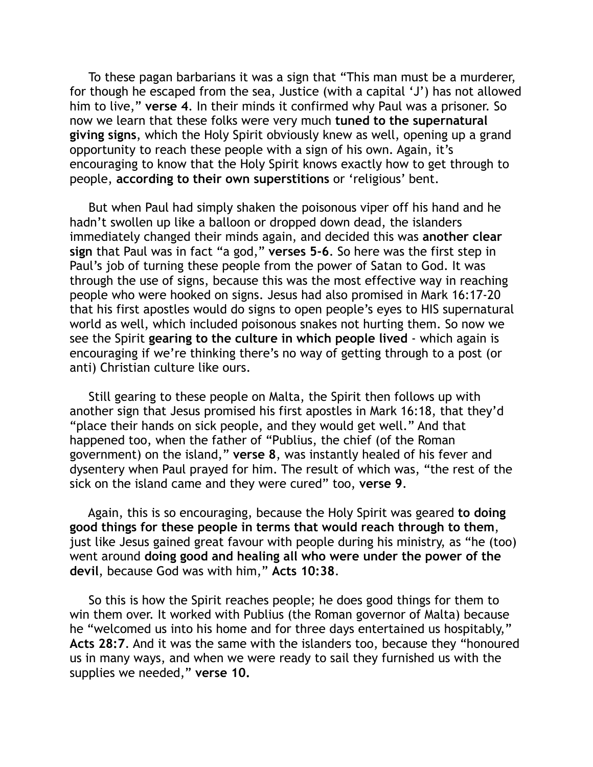To these pagan barbarians it was a sign that "This man must be a murderer, for though he escaped from the sea, Justice (with a capital 'J') has not allowed him to live," **verse 4**. In their minds it confirmed why Paul was a prisoner. So now we learn that these folks were very much **tuned to the supernatural giving signs**, which the Holy Spirit obviously knew as well, opening up a grand opportunity to reach these people with a sign of his own. Again, it's encouraging to know that the Holy Spirit knows exactly how to get through to people, **according to their own superstitions** or 'religious' bent.

 But when Paul had simply shaken the poisonous viper off his hand and he hadn't swollen up like a balloon or dropped down dead, the islanders immediately changed their minds again, and decided this was **another clear sign** that Paul was in fact "a god," **verses 5-6**. So here was the first step in Paul's job of turning these people from the power of Satan to God. It was through the use of signs, because this was the most effective way in reaching people who were hooked on signs. Jesus had also promised in Mark 16:17-20 that his first apostles would do signs to open people's eyes to HIS supernatural world as well, which included poisonous snakes not hurting them. So now we see the Spirit **gearing to the culture in which people lived** - which again is encouraging if we're thinking there's no way of getting through to a post (or anti) Christian culture like ours.

 Still gearing to these people on Malta, the Spirit then follows up with another sign that Jesus promised his first apostles in Mark 16:18, that they'd "place their hands on sick people, and they would get well." And that happened too, when the father of "Publius, the chief (of the Roman government) on the island," **verse 8**, was instantly healed of his fever and dysentery when Paul prayed for him. The result of which was, "the rest of the sick on the island came and they were cured" too, **verse 9**.

 Again, this is so encouraging, because the Holy Spirit was geared **to doing good things for these people in terms that would reach through to them**, just like Jesus gained great favour with people during his ministry, as "he (too) went around **doing good and healing all who were under the power of the devil**, because God was with him," **Acts 10:38**.

 So this is how the Spirit reaches people; he does good things for them to win them over. It worked with Publius (the Roman governor of Malta) because he "welcomed us into his home and for three days entertained us hospitably," **Acts 28:7**. And it was the same with the islanders too, because they "honoured us in many ways, and when we were ready to sail they furnished us with the supplies we needed," **verse 10.**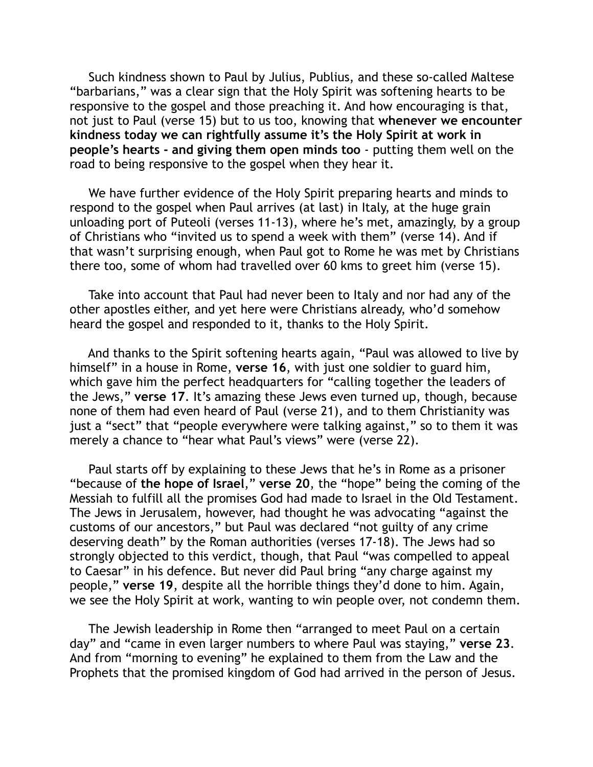Such kindness shown to Paul by Julius, Publius, and these so-called Maltese "barbarians," was a clear sign that the Holy Spirit was softening hearts to be responsive to the gospel and those preaching it. And how encouraging is that, not just to Paul (verse 15) but to us too, knowing that **whenever we encounter kindness today we can rightfully assume it's the Holy Spirit at work in people's hearts - and giving them open minds too** - putting them well on the road to being responsive to the gospel when they hear it.

 We have further evidence of the Holy Spirit preparing hearts and minds to respond to the gospel when Paul arrives (at last) in Italy, at the huge grain unloading port of Puteoli (verses 11-13), where he's met, amazingly, by a group of Christians who "invited us to spend a week with them" (verse 14). And if that wasn't surprising enough, when Paul got to Rome he was met by Christians there too, some of whom had travelled over 60 kms to greet him (verse 15).

 Take into account that Paul had never been to Italy and nor had any of the other apostles either, and yet here were Christians already, who'd somehow heard the gospel and responded to it, thanks to the Holy Spirit.

 And thanks to the Spirit softening hearts again, "Paul was allowed to live by himself" in a house in Rome, **verse 16**, with just one soldier to guard him, which gave him the perfect headquarters for "calling together the leaders of the Jews," **verse 17**. It's amazing these Jews even turned up, though, because none of them had even heard of Paul (verse 21), and to them Christianity was just a "sect" that "people everywhere were talking against," so to them it was merely a chance to "hear what Paul's views" were (verse 22).

 Paul starts off by explaining to these Jews that he's in Rome as a prisoner "because of **the hope of Israel**," **verse 20**, the "hope" being the coming of the Messiah to fulfill all the promises God had made to Israel in the Old Testament. The Jews in Jerusalem, however, had thought he was advocating "against the customs of our ancestors," but Paul was declared "not guilty of any crime deserving death" by the Roman authorities (verses 17-18). The Jews had so strongly objected to this verdict, though, that Paul "was compelled to appeal to Caesar" in his defence. But never did Paul bring "any charge against my people," **verse 19**, despite all the horrible things they'd done to him. Again, we see the Holy Spirit at work, wanting to win people over, not condemn them.

 The Jewish leadership in Rome then "arranged to meet Paul on a certain day" and "came in even larger numbers to where Paul was staying," **verse 23**. And from "morning to evening" he explained to them from the Law and the Prophets that the promised kingdom of God had arrived in the person of Jesus.